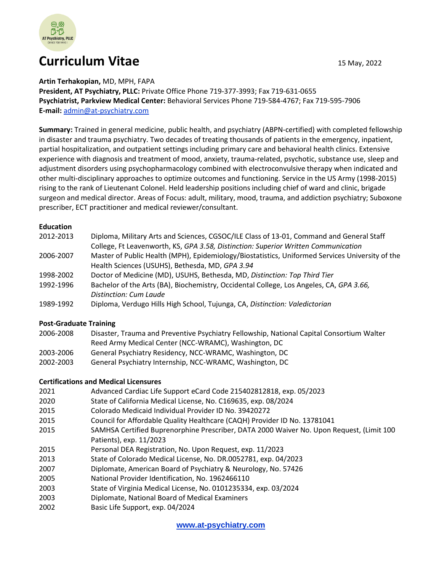

# **Curriculum Vitae 15 May, 2022**

**Artin Terhakopian,** MD, MPH, FAPA **President, AT Psychiatry, PLLC:** Private Office Phone 719-377-3993; Fax 719-631-0655 **Psychiatrist, Parkview Medical Center:** Behavioral Services Phone 719-584-4767; Fax 719-595-7906 **E-mail:** [admin@at-psychiatry.com](mailto:admin@at-psychiatry.com)

**Summary:** Trained in general medicine, public health, and psychiatry (ABPN-certified) with completed fellowship in disaster and trauma psychiatry. Two decades of treating thousands of patients in the emergency, inpatient, partial hospitalization, and outpatient settings including primary care and behavioral health clinics. Extensive experience with diagnosis and treatment of mood, anxiety, trauma-related, psychotic, substance use, sleep and adjustment disorders using psychopharmacology combined with electroconvulsive therapy when indicated and other multi-disciplinary approaches to optimize outcomes and functioning. Service in the US Army (1998-2015) rising to the rank of Lieutenant Colonel. Held leadership positions including chief of ward and clinic, brigade surgeon and medical director. Areas of Focus: adult, military, mood, trauma, and addiction psychiatry; Suboxone prescriber, ECT practitioner and medical reviewer/consultant.

#### **Education**

| 2012-2013 | Diploma, Military Arts and Sciences, CGSOC/ILE Class of 13-01, Command and General Staff        |
|-----------|-------------------------------------------------------------------------------------------------|
|           | College, Ft Leavenworth, KS, GPA 3.58, Distinction: Superior Written Communication              |
| 2006-2007 | Master of Public Health (MPH), Epidemiology/Biostatistics, Uniformed Services University of the |
|           | Health Sciences (USUHS), Bethesda, MD, GPA 3.94                                                 |
| 1998-2002 | Doctor of Medicine (MD), USUHS, Bethesda, MD, Distinction: Top Third Tier                       |
| 1992-1996 | Bachelor of the Arts (BA), Biochemistry, Occidental College, Los Angeles, CA, GPA 3.66,         |
|           | Distinction: Cum Laude                                                                          |
| 1989-1992 | Diploma, Verdugo Hills High School, Tujunga, CA, Distinction: Valedictorian                     |

#### **Post-Graduate Training**

- 2006-2008 Disaster, Trauma and Preventive Psychiatry Fellowship, National Capital Consortium Walter Reed Army Medical Center (NCC-WRAMC), Washington, DC
- 2003-2006 General Psychiatry Residency, NCC-WRAMC, Washington, DC
- 2002-2003 General Psychiatry Internship, NCC-WRAMC, Washington, DC

#### **Certifications and Medical Licensures**

- 2021 Advanced Cardiac Life Support eCard Code 215402812818, exp. 05/2023
- 2020 State of California Medical License, No. C169635, exp. 08/2024
- 2015 Colorado Medicaid Individual Provider ID No. 39420272
- 2015 Council for Affordable Quality Healthcare (CAQH) Provider ID No. 13781041
- 2015 SAMHSA Certified Buprenorphine Prescriber, DATA 2000 Waiver No. Upon Request, (Limit 100 Patients), exp. 11/2023
- 2015 Personal DEA Registration, No. Upon Request, exp. 11/2023
- 2013 State of Colorado Medical License, No. DR.0052781, exp. 04/2023
- 2007 Diplomate, American Board of Psychiatry & Neurology, No. 57426
- 2005 National Provider Identification, No. 1962466110
- 2003 State of Virginia Medical License, No. 0101235334, exp. 03/2024
- 2003 Diplomate, National Board of Medical Examiners
- 2002 Basic Life Support, exp. 04/2024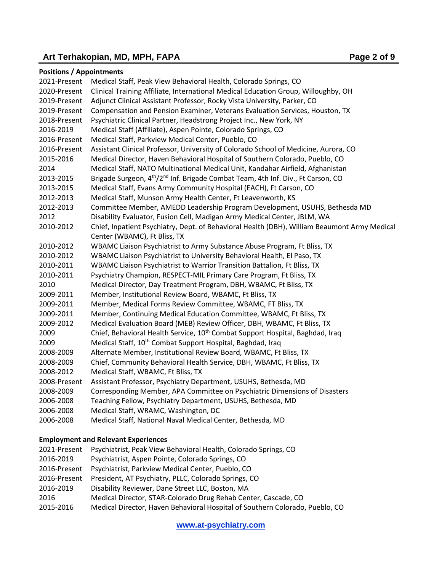# Art Terhakopian, MD, MPH, FAPA **Page 2** of 9

## **Positions / Appointments**

| 2021-Present | Medical Staff, Peak View Behavioral Health, Colorado Springs, CO                                         |
|--------------|----------------------------------------------------------------------------------------------------------|
| 2020-Present | Clinical Training Affiliate, International Medical Education Group, Willoughby, OH                       |
| 2019-Present | Adjunct Clinical Assistant Professor, Rocky Vista University, Parker, CO                                 |
| 2019-Present | Compensation and Pension Examiner, Veterans Evaluation Services, Houston, TX                             |
| 2018-Present | Psychiatric Clinical Partner, Headstrong Project Inc., New York, NY                                      |
| 2016-2019    | Medical Staff (Affiliate), Aspen Pointe, Colorado Springs, CO                                            |
| 2016-Present | Medical Staff, Parkview Medical Center, Pueblo, CO                                                       |
| 2016-Present | Assistant Clinical Professor, University of Colorado School of Medicine, Aurora, CO                      |
| 2015-2016    | Medical Director, Haven Behavioral Hospital of Southern Colorado, Pueblo, CO                             |
| 2014         | Medical Staff, NATO Multinational Medical Unit, Kandahar Airfield, Afghanistan                           |
| 2013-2015    | Brigade Surgeon, 4 <sup>th</sup> /2 <sup>nd</sup> Inf. Brigade Combat Team, 4th Inf. Div., Ft Carson, CO |
| 2013-2015    | Medical Staff, Evans Army Community Hospital (EACH), Ft Carson, CO                                       |
| 2012-2013    | Medical Staff, Munson Army Health Center, Ft Leavenworth, KS                                             |
| 2012-2013    | Committee Member, AMEDD Leadership Program Development, USUHS, Bethesda MD                               |
| 2012         | Disability Evaluator, Fusion Cell, Madigan Army Medical Center, JBLM, WA                                 |
| 2010-2012    | Chief, Inpatient Psychiatry, Dept. of Behavioral Health (DBH), William Beaumont Army Medical             |
|              | Center (WBAMC), Ft Bliss, TX                                                                             |
| 2010-2012    | WBAMC Liaison Psychiatrist to Army Substance Abuse Program, Ft Bliss, TX                                 |
| 2010-2012    | WBAMC Liaison Psychiatrist to University Behavioral Health, El Paso, TX                                  |
| 2010-2011    | WBAMC Liaison Psychiatrist to Warrior Transition Battalion, Ft Bliss, TX                                 |
| 2010-2011    | Psychiatry Champion, RESPECT-MIL Primary Care Program, Ft Bliss, TX                                      |
| 2010         | Medical Director, Day Treatment Program, DBH, WBAMC, Ft Bliss, TX                                        |
| 2009-2011    | Member, Institutional Review Board, WBAMC, Ft Bliss, TX                                                  |
| 2009-2011    | Member, Medical Forms Review Committee, WBAMC, FT Bliss, TX                                              |
| 2009-2011    | Member, Continuing Medical Education Committee, WBAMC, Ft Bliss, TX                                      |
| 2009-2012    | Medical Evaluation Board (MEB) Review Officer, DBH, WBAMC, Ft Bliss, TX                                  |
| 2009         | Chief, Behavioral Health Service, 10 <sup>th</sup> Combat Support Hospital, Baghdad, Iraq                |
| 2009         | Medical Staff, 10 <sup>th</sup> Combat Support Hospital, Baghdad, Iraq                                   |
| 2008-2009    | Alternate Member, Institutional Review Board, WBAMC, Ft Bliss, TX                                        |
| 2008-2009    | Chief, Community Behavioral Health Service, DBH, WBAMC, Ft Bliss, TX                                     |
| 2008-2012    | Medical Staff, WBAMC, Ft Bliss, TX                                                                       |
| 2008-Present | Assistant Professor, Psychiatry Department, USUHS, Bethesda, MD                                          |
| 2008-2009    | Corresponding Member, APA Committee on Psychiatric Dimensions of Disasters                               |
| 2006-2008    | Teaching Fellow, Psychiatry Department, USUHS, Bethesda, MD                                              |
| 2006-2008    | Medical Staff, WRAMC, Washington, DC                                                                     |
| 2006-2008    | Medical Staff, National Naval Medical Center, Bethesda, MD                                               |
|              |                                                                                                          |

## **Employment and Relevant Experiences**

| 2021-Present | Psychiatrist, Peak View Behavioral Health, Colorado Springs, CO              |
|--------------|------------------------------------------------------------------------------|
| 2016-2019    | Psychiatrist, Aspen Pointe, Colorado Springs, CO                             |
| 2016-Present | Psychiatrist, Parkview Medical Center, Pueblo, CO                            |
| 2016-Present | President, AT Psychiatry, PLLC, Colorado Springs, CO                         |
| 2016-2019    | Disability Reviewer, Dane Street LLC, Boston, MA                             |
| 2016         | Medical Director, STAR-Colorado Drug Rehab Center, Cascade, CO               |
| 2015-2016    | Medical Director, Haven Behavioral Hospital of Southern Colorado, Pueblo, CO |

**[www.at-psychiatry.com](http://www.at-psychiatry.com/)**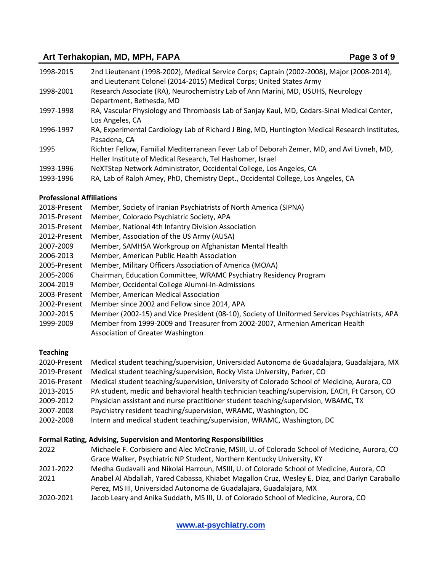# Art Terhakopian, MD, MPH, FAPA **Page 3** of 9

| 1998-2015              | 2nd Lieutenant (1998-2002), Medical Service Corps; Captain (2002-2008), Major (2008-2014),<br>and Lieutenant Colonel (2014-2015) Medical Corps; United States Army |
|------------------------|--------------------------------------------------------------------------------------------------------------------------------------------------------------------|
| 1998-2001              | Research Associate (RA), Neurochemistry Lab of Ann Marini, MD, USUHS, Neurology<br>Department, Bethesda, MD                                                        |
| 1997-1998              | RA, Vascular Physiology and Thrombosis Lab of Sanjay Kaul, MD, Cedars-Sinai Medical Center,<br>Los Angeles, CA                                                     |
| 1996-1997              | RA, Experimental Cardiology Lab of Richard J Bing, MD, Huntington Medical Research Institutes,<br>Pasadena, CA                                                     |
| 1995                   | Richter Fellow, Familial Mediterranean Fever Lab of Deborah Zemer, MD, and Avi Livneh, MD,<br>Heller Institute of Medical Research, Tel Hashomer, Israel           |
| 1993-1996<br>1993-1996 | NeXTStep Network Administrator, Occidental College, Los Angeles, CA<br>RA, Lab of Ralph Amey, PhD, Chemistry Dept., Occidental College, Los Angeles, CA            |

#### **Professional Affiliations**

| 2018-Present | Member, Society of Iranian Psychiatrists of North America (SIPNA)                             |
|--------------|-----------------------------------------------------------------------------------------------|
| 2015-Present | Member, Colorado Psychiatric Society, APA                                                     |
| 2015-Present | Member, National 4th Infantry Division Association                                            |
| 2012-Present | Member, Association of the US Army (AUSA)                                                     |
| 2007-2009    | Member, SAMHSA Workgroup on Afghanistan Mental Health                                         |
| 2006-2013    | Member, American Public Health Association                                                    |
| 2005-Present | Member, Military Officers Association of America (MOAA)                                       |
| 2005-2006    | Chairman, Education Committee, WRAMC Psychiatry Residency Program                             |
| 2004-2019    | Member, Occidental College Alumni-In-Admissions                                               |
| 2003-Present | Member, American Medical Association                                                          |
| 2002-Present | Member since 2002 and Fellow since 2014, APA                                                  |
| 2002-2015    | Member (2002-15) and Vice President (08-10), Society of Uniformed Services Psychiatrists, APA |
| 1999-2009    | Member from 1999-2009 and Treasurer from 2002-2007, Armenian American Health                  |
|              | Association of Greater Washington                                                             |
|              |                                                                                               |

#### **Teaching**

| 2020-Present | Medical student teaching/supervision, Universidad Autonoma de Guadalajara, Guadalajara, MX   |
|--------------|----------------------------------------------------------------------------------------------|
| 2019-Present | Medical student teaching/supervision, Rocky Vista University, Parker, CO                     |
| 2016-Present | Medical student teaching/supervision, University of Colorado School of Medicine, Aurora, CO  |
| 2013-2015    | PA student, medic and behavioral health technician teaching/supervision, EACH, Ft Carson, CO |
| 2009-2012    | Physician assistant and nurse practitioner student teaching/supervision, WBAMC, TX           |
| 2007-2008    | Psychiatry resident teaching/supervision, WRAMC, Washington, DC                              |
| 2002-2008    | Intern and medical student teaching/supervision, WRAMC, Washington, DC                       |

#### **Formal Rating, Advising, Supervision and Mentoring Responsibilities**

- 2022 Michaele F. Corbisiero and Alec McCranie, MSIII, U. of Colorado School of Medicine, Aurora, CO Grace Walker, Psychiatric NP Student, Northern Kentucky University, KY
- 2021-2022 Medha Gudavalli and Nikolai Harroun, MSIII, U. of Colorado School of Medicine, Aurora, CO 2021 Anabel Al Abdallah, Yared Cabassa, Khiabet Magallon Cruz, Wesley E. Diaz, and Darlyn Caraballo Perez, MS III, Universidad Autonoma de Guadalajara, Guadalajara, MX
- 2020-2021 Jacob Leary and Anika Suddath, MS III, U. of Colorado School of Medicine, Aurora, CO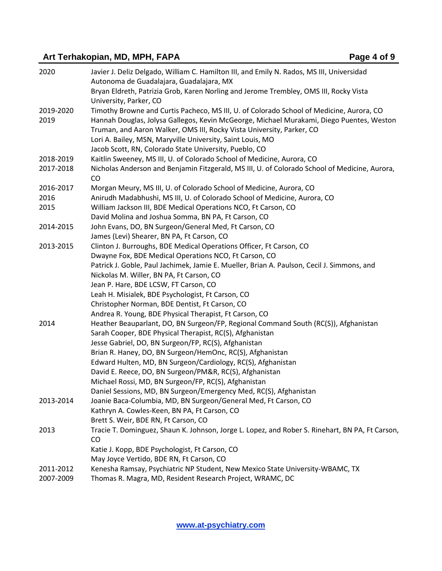# Art Terhakopian, MD, MPH, FAPA **Page 4** of 9

| 2020      | Javier J. Deliz Delgado, William C. Hamilton III, and Emily N. Rados, MS III, Universidad<br>Autonoma de Guadalajara, Guadalajara, MX                             |
|-----------|-------------------------------------------------------------------------------------------------------------------------------------------------------------------|
|           | Bryan Eldreth, Patrizia Grob, Karen Norling and Jerome Trembley, OMS III, Rocky Vista<br>University, Parker, CO                                                   |
| 2019-2020 | Timothy Browne and Curtis Pacheco, MS III, U. of Colorado School of Medicine, Aurora, CO                                                                          |
| 2019      | Hannah Douglas, Jolysa Gallegos, Kevin McGeorge, Michael Murakami, Diego Puentes, Weston<br>Truman, and Aaron Walker, OMS III, Rocky Vista University, Parker, CO |
|           | Lori A. Bailey, MSN, Maryville University, Saint Louis, MO                                                                                                        |
|           | Jacob Scott, RN, Colorado State University, Pueblo, CO                                                                                                            |
| 2018-2019 | Kaitlin Sweeney, MS III, U. of Colorado School of Medicine, Aurora, CO                                                                                            |
| 2017-2018 | Nicholas Anderson and Benjamin Fitzgerald, MS III, U. of Colorado School of Medicine, Aurora,<br>CO                                                               |
| 2016-2017 | Morgan Meury, MS III, U. of Colorado School of Medicine, Aurora, CO                                                                                               |
| 2016      | Anirudh Madabhushi, MS III, U. of Colorado School of Medicine, Aurora, CO                                                                                         |
| 2015      | William Jackson III, BDE Medical Operations NCO, Ft Carson, CO                                                                                                    |
|           | David Molina and Joshua Somma, BN PA, Ft Carson, CO                                                                                                               |
| 2014-2015 | John Evans, DO, BN Surgeon/General Med, Ft Carson, CO                                                                                                             |
|           | James (Levi) Shearer, BN PA, Ft Carson, CO                                                                                                                        |
| 2013-2015 | Clinton J. Burroughs, BDE Medical Operations Officer, Ft Carson, CO                                                                                               |
|           | Dwayne Fox, BDE Medical Operations NCO, Ft Carson, CO                                                                                                             |
|           | Patrick J. Goble, Paul Jachimek, Jamie E. Mueller, Brian A. Paulson, Cecil J. Simmons, and                                                                        |
|           | Nickolas M. Willer, BN PA, Ft Carson, CO                                                                                                                          |
|           | Jean P. Hare, BDE LCSW, FT Carson, CO                                                                                                                             |
|           | Leah H. Misialek, BDE Psychologist, Ft Carson, CO                                                                                                                 |
|           | Christopher Norman, BDE Dentist, Ft Carson, CO                                                                                                                    |
|           | Andrea R. Young, BDE Physical Therapist, Ft Carson, CO                                                                                                            |
| 2014      | Heather Beauparlant, DO, BN Surgeon/FP, Regional Command South (RC(S)), Afghanistan                                                                               |
|           | Sarah Cooper, BDE Physical Therapist, RC(S), Afghanistan                                                                                                          |
|           | Jesse Gabriel, DO, BN Surgeon/FP, RC(S), Afghanistan                                                                                                              |
|           | Brian R. Haney, DO, BN Surgeon/HemOnc, RC(S), Afghanistan                                                                                                         |
|           | Edward Hulten, MD, BN Surgeon/Cardiology, RC(S), Afghanistan                                                                                                      |
|           | David E. Reece, DO, BN Surgeon/PM&R, RC(S), Afghanistan                                                                                                           |
|           | Michael Rossi, MD, BN Surgeon/FP, RC(S), Afghanistan                                                                                                              |
|           | Daniel Sessions, MD, BN Surgeon/Emergency Med, RC(S), Afghanistan                                                                                                 |
| 2013-2014 | Joanie Baca-Columbia, MD, BN Surgeon/General Med, Ft Carson, CO                                                                                                   |
|           | Kathryn A. Cowles-Keen, BN PA, Ft Carson, CO                                                                                                                      |
|           | Brett S. Weir, BDE RN, Ft Carson, CO                                                                                                                              |
| 2013      | Tracie T. Dominguez, Shaun K. Johnson, Jorge L. Lopez, and Rober S. Rinehart, BN PA, Ft Carson,                                                                   |
|           | CO                                                                                                                                                                |
|           | Katie J. Kopp, BDE Psychologist, Ft Carson, CO                                                                                                                    |
|           | May Joyce Vertido, BDE RN, Ft Carson, CO                                                                                                                          |
| 2011-2012 | Kenesha Ramsay, Psychiatric NP Student, New Mexico State University-WBAMC, TX                                                                                     |
| 2007-2009 | Thomas R. Magra, MD, Resident Research Project, WRAMC, DC                                                                                                         |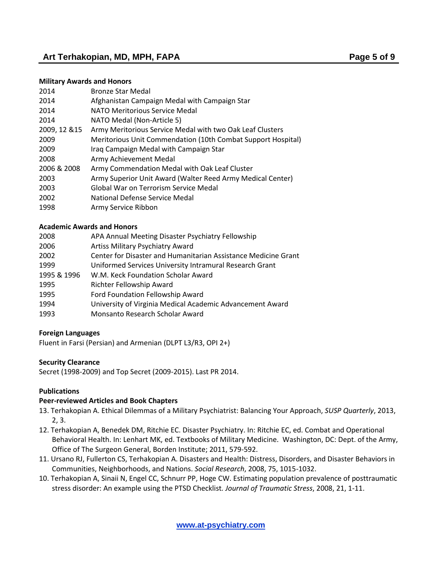# Art Terhakopian, MD, MPH, FAPA **Page 5** of 9

#### **Military Awards and Honors**

| 2014          | <b>Bronze Star Medal</b>                                     |
|---------------|--------------------------------------------------------------|
| 2014          | Afghanistan Campaign Medal with Campaign Star                |
| 2014          | NATO Meritorious Service Medal                               |
| 2014          | NATO Medal (Non-Article 5)                                   |
| 2009, 12 & 15 | Army Meritorious Service Medal with two Oak Leaf Clusters    |
| 2009          | Meritorious Unit Commendation (10th Combat Support Hospital) |
| 2009          | Iraq Campaign Medal with Campaign Star                       |
| 2008          | Army Achievement Medal                                       |
| 2006 & 2008   | Army Commendation Medal with Oak Leaf Cluster                |
| 2003          | Army Superior Unit Award (Walter Reed Army Medical Center)   |
| 2003          | Global War on Terrorism Service Medal                        |
| 2002          | National Defense Service Medal                               |
| 1998          | Army Service Ribbon                                          |
|               |                                                              |

#### **Academic Awards and Honors**

| 2008        | APA Annual Meeting Disaster Psychiatry Fellowship              |
|-------------|----------------------------------------------------------------|
| 2006        | Artiss Military Psychiatry Award                               |
| 2002        | Center for Disaster and Humanitarian Assistance Medicine Grant |
| 1999        | Uniformed Services University Intramural Research Grant        |
| 1995 & 1996 | W.M. Keck Foundation Scholar Award                             |
| 1995        | Richter Fellowship Award                                       |
| 1995        | Ford Foundation Fellowship Award                               |
| 1994        | University of Virginia Medical Academic Advancement Award      |
| 1993        | Monsanto Research Scholar Award                                |

#### **Foreign Languages**

Fluent in Farsi (Persian) and Armenian (DLPT L3/R3, OPI 2+)

#### **Security Clearance**

Secret (1998-2009) and Top Secret (2009-2015). Last PR 2014.

#### **Publications**

#### **Peer-reviewed Articles and Book Chapters**

- 13. Terhakopian A. Ethical Dilemmas of a Military Psychiatrist: Balancing Your Approach, *SUSP Quarterly*, 2013, 2, 3.
- 12. Terhakopian A, Benedek DM, Ritchie EC. Disaster Psychiatry. In: Ritchie EC, ed. Combat and Operational Behavioral Health. In: Lenhart MK, ed. Textbooks of Military Medicine. Washington, DC: Dept. of the Army, Office of The Surgeon General, Borden Institute; 2011, 579-592.
- 11. Ursano RJ, Fullerton CS, Terhakopian A. Disasters and Health: Distress, Disorders, and Disaster Behaviors in Communities, Neighborhoods, and Nations. *Social Research*, 2008, 75, 1015-1032.
- 10. Terhakopian A, Sinaii N, Engel CC, Schnurr PP, Hoge CW. Estimating population prevalence of posttraumatic stress disorder: An example using the PTSD Checklist*. Journal of Traumatic Stress*, 2008, 21, 1-11.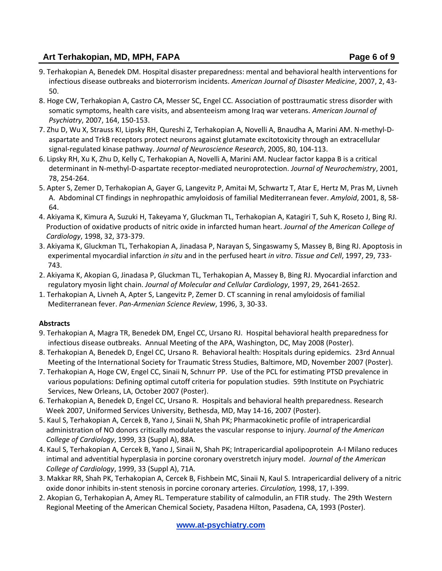# Art Terhakopian, MD, MPH, FAPA **Page 6** of 9

- 9. Terhakopian A, Benedek DM. Hospital disaster preparedness: mental and behavioral health interventions for infectious disease outbreaks and bioterrorism incidents. *American Journal of Disaster Medicine*, 2007, 2, 43- 50.
- 8. [Hoge CW, Terhakopian A, Castro CA, Messer SC, Engel CC.](http://www.ncbi.nlm.nih.gov/entrez/query.fcgi?db=pubmed&cmd=Retrieve&dopt=AbstractPlus&list_uids=17202557&query_hl=1&itool=pubmed_docsum) Association of posttraumatic stress disorder with somatic symptoms, health care visits, and absenteeism among Iraq war veterans. *American Journal of Psychiatry*, 2007, 164, 150-153.
- 7. Zhu D, Wu X, Strauss KI, Lipsky RH, Qureshi Z, Terhakopian A, Novelli A, Bnaudha A, Marini AM. N-methyl-Daspartate and TrkB receptors protect neurons against glutamate excitotoxicity through an extracellular signal-regulated kinase pathway. *Journal of Neuroscience Research*, 2005, 80, 104-113.
- 6. Lipsky RH, Xu K, Zhu D, Kelly C, Terhakopian A, Novelli A, Marini AM. Nuclear factor kappa B is a critical determinant in N-methyl-D-aspartate receptor-mediated neuroprotection. *Journal of Neurochemistry*, 2001, 78, 254-264.
- 5. Apter S, Zemer D, Terhakopian A, Gayer G, Langevitz P, Amitai M, Schwartz T, Atar E, Hertz M, Pras M, Livneh A. Abdominal CT findings in nephropathic amyloidosis of familial Mediterranean fever. *Amyloid*, 2001, 8, 58- 64.
- 4. Akiyama K, Kimura A, Suzuki H, Takeyama Y, Gluckman TL, Terhakopian A, Katagiri T, Suh K, Roseto J, Bing RJ. Production of oxidative products of nitric oxide in infarcted human heart. *Journal of the American College of Cardiology*, 1998, 32, 373-379.
- 3. Akiyama K, Gluckman TL, Terhakopian A, Jinadasa P, Narayan S, Singaswamy S, Massey B, Bing RJ. Apoptosis in experimental myocardial infarction *in situ* and in the perfused heart *in vitro*. *Tissue and Cell*, 1997, 29, 733- 743.
- 2. Akiyama K, Akopian G, Jinadasa P, Gluckman TL, Terhakopian A, Massey B, Bing RJ. Myocardial infarction and regulatory myosin light chain. *Journal of Molecular and Cellular Cardiology*, 1997, 29, 2641-2652.
- 1. Terhakopian A, Livneh A, Apter S, Langevitz P, Zemer D. CT scanning in renal amyloidosis of familial Mediterranean fever. *Pan-Armenian Science Review*, 1996, 3, 30-33.

# **Abstracts**

- 9. Terhakopian A, Magra TR, Benedek DM, Engel CC, Ursano RJ. Hospital behavioral health preparedness for infectious disease outbreaks. Annual Meeting of the APA, Washington, DC, May 2008 (Poster).
- 8. Terhakopian A, Benedek D, Engel CC, Ursano R. Behavioral health: Hospitals during epidemics. 23rd Annual Meeting of the International Society for Traumatic Stress Studies, Baltimore, MD, November 2007 (Poster).
- 7. Terhakopian A, Hoge CW, Engel CC, Sinaii N, Schnurr PP. Use of the PCL for estimating PTSD prevalence in various populations: Defining optimal cutoff criteria for population studies. 59th Institute on Psychiatric Services, New Orleans, LA, October 2007 (Poster).
- 6. Terhakopian A, Benedek D, Engel CC, Ursano R. Hospitals and behavioral health preparedness. Research Week 2007, Uniformed Services University, Bethesda, MD, May 14-16, 2007 (Poster).
- 5. Kaul S, Terhakopian A, Cercek B, Yano J, Sinaii N, Shah PK; Pharmacokinetic profile of intrapericardial administration of NO donors critically modulates the vascular response to injury. *Journal of the American College of Cardiology*, 1999, 33 (Suppl A), 88A.
- 4. Kaul S, Terhakopian A, Cercek B, Yano J, Sinaii N, Shah PK; Intrapericardial apolipoprotein A-I Milano reduces intimal and adventitial hyperplasia in porcine coronary overstretch injury model. *Journal of the American College of Cardiology*, 1999, 33 (Suppl A), 71A.
- 3. Makkar RR, Shah PK, Terhakopian A, Cercek B, Fishbein MC, Sinaii N, Kaul S. Intrapericardial delivery of a nitric oxide donor inhibits in-stent stenosis in porcine coronary arteries. *Circulation,* 1998, 17, I-399.
- 2. Akopian G, Terhakopian A, Amey RL. Temperature stability of calmodulin, an FTIR study. The 29th Western Regional Meeting of the American Chemical Society, Pasadena Hilton, Pasadena, CA, 1993 (Poster).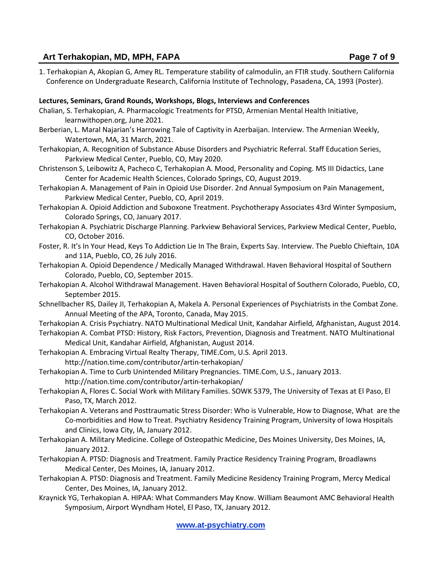# Art Terhakopian, MD, MPH, FAPA **Page 7** of 9

1. Terhakopian A, Akopian G, Amey RL. Temperature stability of calmodulin, an FTIR study. Southern California Conference on Undergraduate Research, California Institute of Technology, Pasadena, CA, 1993 (Poster).

## **Lectures, Seminars, Grand Rounds, Workshops, Blogs, Interviews and Conferences**

- Chalian, S. Terhakopian, A. Pharmacologic Treatments for PTSD, Armenian Mental Health Initiative, learnwithopen.org, June 2021.
- Berberian, L. Maral Najarian's Harrowing Tale of Captivity in Azerbaijan. Interview. The Armenian Weekly, Watertown, MA, 31 March, 2021.
- Terhakopian, A. Recognition of Substance Abuse Disorders and Psychiatric Referral. Staff Education Series, Parkview Medical Center, Pueblo, CO, May 2020.
- Christenson S, Leibowitz A, Pacheco C, Terhakopian A. Mood, Personality and Coping. MS III Didactics, Lane Center for Academic Health Sciences, Colorado Springs, CO, August 2019.
- Terhakopian A. Management of Pain in Opioid Use Disorder. 2nd Annual Symposium on Pain Management, Parkview Medical Center, Pueblo, CO, April 2019.
- Terhakopian A. Opioid Addiction and Suboxone Treatment. Psychotherapy Associates 43rd Winter Symposium, Colorado Springs, CO, January 2017.
- Terhakopian A. Psychiatric Discharge Planning. Parkview Behavioral Services, Parkview Medical Center, Pueblo, CO, October 2016.
- Foster, R. It's In Your Head, Keys To Addiction Lie In The Brain, Experts Say. Interview. The Pueblo Chieftain, 10A and 11A, Pueblo, CO, 26 July 2016.
- Terhakopian A. Opioid Dependence / Medically Managed Withdrawal. Haven Behavioral Hospital of Southern Colorado, Pueblo, CO, September 2015.
- Terhakopian A. Alcohol Withdrawal Management. Haven Behavioral Hospital of Southern Colorado, Pueblo, CO, September 2015.
- Schnellbacher RS, Dailey JI, Terhakopian A, Makela A. Personal Experiences of Psychiatrists in the Combat Zone. Annual Meeting of the APA, Toronto, Canada, May 2015.
- Terhakopian A. Crisis Psychiatry. NATO Multinational Medical Unit, Kandahar Airfield, Afghanistan, August 2014.
- Terhakopian A. Combat PTSD: History, Risk Factors, Prevention, Diagnosis and Treatment. NATO Multinational Medical Unit, Kandahar Airfield, Afghanistan, August 2014.
- Terhakopian A. Embracing Virtual Realty Therapy, TIME.Com, U.S. April 2013. http://nation.time.com/contributor/artin-terhakopian/
- Terhakopian A. Time to Curb Unintended Military Pregnancies. TIME.Com, U.S., January 2013. http://nation.time.com/contributor/artin-terhakopian/
- Terhakopian A, Flores C. Social Work with Military Families. SOWK 5379, The University of Texas at El Paso, El Paso, TX, March 2012.
- Terhakopian A. Veterans and Posttraumatic Stress Disorder: Who is Vulnerable, How to Diagnose, What are the Co-morbidities and How to Treat. Psychiatry Residency Training Program, University of Iowa Hospitals and Clinics, Iowa City, IA, January 2012.
- Terhakopian A. Military Medicine. College of Osteopathic Medicine, Des Moines University, Des Moines, IA, January 2012.
- Terhakopian A. PTSD: Diagnosis and Treatment. Family Practice Residency Training Program, Broadlawns Medical Center, Des Moines, IA, January 2012.
- Terhakopian A. PTSD: Diagnosis and Treatment. Family Medicine Residency Training Program, Mercy Medical Center, Des Moines, IA, January 2012.
- Kraynick YG, Terhakopian A. HIPAA: What Commanders May Know. William Beaumont AMC Behavioral Health Symposium, Airport Wyndham Hotel, El Paso, TX, January 2012.

**[www.at-psychiatry.com](http://www.at-psychiatry.com/)**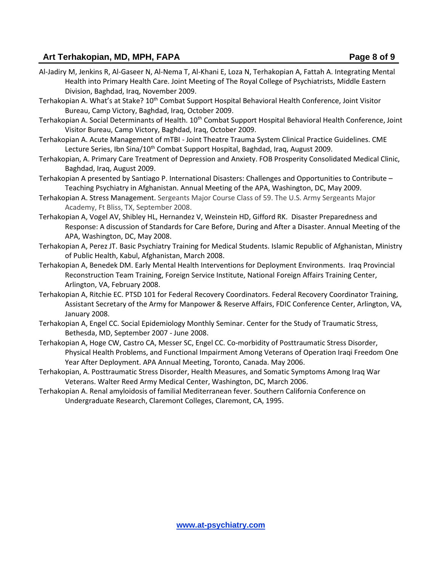# **Art Terhakopian, MD, MPH, FAPA Page 8 of 9**

- Al-Jadiry M, Jenkins R, Al-Gaseer N, Al-Nema T, Al-Khani E, Loza N, Terhakopian A, Fattah A. Integrating Mental Health into Primary Health Care. Joint Meeting of The Royal College of Psychiatrists, Middle Eastern Division, Baghdad, Iraq, November 2009.
- Terhakopian A. What's at Stake? 10<sup>th</sup> Combat Support Hospital Behavioral Health Conference, Joint Visitor Bureau, Camp Victory, Baghdad, Iraq, October 2009.
- Terhakopian A. Social Determinants of Health. 10<sup>th</sup> Combat Support Hospital Behavioral Health Conference, Joint Visitor Bureau, Camp Victory, Baghdad, Iraq, October 2009.
- Terhakopian A. Acute Management of mTBI Joint Theatre Trauma System Clinical Practice Guidelines. CME Lecture Series, Ibn Sina/10<sup>th</sup> Combat Support Hospital, Baghdad, Iraq, August 2009.
- Terhakopian, A. Primary Care Treatment of Depression and Anxiety. FOB Prosperity Consolidated Medical Clinic, Baghdad, Iraq, August 2009.
- Terhakopian A presented by Santiago P. International Disasters: Challenges and Opportunities to Contribute Teaching Psychiatry in Afghanistan. Annual Meeting of the APA, Washington, DC, May 2009.
- Terhakopian A. Stress Management. Sergeants Major Course Class of 59. The U.S. Army Sergeants Major Academy, Ft Bliss, TX, September 2008.
- Terhakopian A, Vogel AV, Shibley HL, Hernandez V, Weinstein HD, Gifford RK. Disaster Preparedness and Response: A discussion of Standards for Care Before, During and After a Disaster. Annual Meeting of the APA, Washington, DC, May 2008.
- Terhakopian A, Perez JT. Basic Psychiatry Training for Medical Students. Islamic Republic of Afghanistan, Ministry of Public Health, Kabul, Afghanistan, March 2008.
- Terhakopian A, Benedek DM. Early Mental Health Interventions for Deployment Environments. Iraq Provincial Reconstruction Team Training, Foreign Service Institute, National Foreign Affairs Training Center, Arlington, VA, February 2008.
- Terhakopian A, Ritchie EC. PTSD 101 for Federal Recovery Coordinators. Federal Recovery Coordinator Training, Assistant Secretary of the Army for Manpower & Reserve Affairs, FDIC Conference Center, Arlington, VA, January 2008.
- Terhakopian A, Engel CC. Social Epidemiology Monthly Seminar. Center for the Study of Traumatic Stress, Bethesda, MD, September 2007 - June 2008.
- Terhakopian A, Hoge CW, Castro CA, Messer SC, Engel CC. Co-morbidity of Posttraumatic Stress Disorder, Physical Health Problems, and Functional Impairment Among Veterans of Operation Iraqi Freedom One Year After Deployment. APA Annual Meeting, Toronto, Canada. May 2006.
- Terhakopian, A. Posttraumatic Stress Disorder, Health Measures, and Somatic Symptoms Among Iraq War Veterans. Walter Reed Army Medical Center, Washington, DC, March 2006.
- Terhakopian A. Renal amyloidosis of familial Mediterranean fever. Southern California Conference on Undergraduate Research, Claremont Colleges, Claremont, CA, 1995.